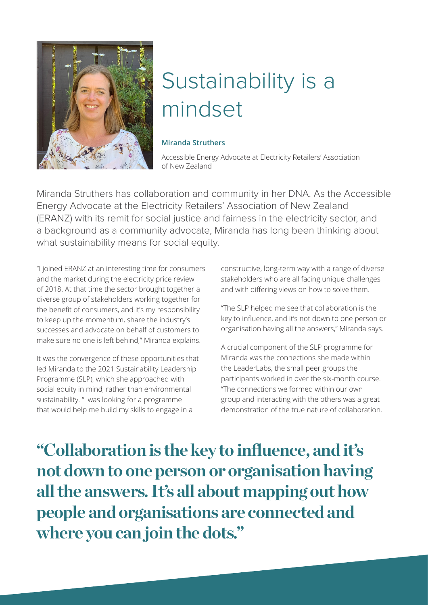

## Sustainability is a mindset

## **Miranda Struthers**

Accessible Energy Advocate at Electricity Retailers' Association of New Zealand

Miranda Struthers has collaboration and community in her DNA. As the Accessible Energy Advocate at the Electricity Retailers' Association of New Zealand (ERANZ) with its remit for social justice and fairness in the electricity sector, and a background as a community advocate, Miranda has long been thinking about what sustainability means for social equity.

"I joined ERANZ at an interesting time for consumers and the market during the electricity price review of 2018. At that time the sector brought together a diverse group of stakeholders working together for the benefit of consumers, and it's my responsibility to keep up the momentum, share the industry's successes and advocate on behalf of customers to make sure no one is left behind," Miranda explains.

It was the convergence of these opportunities that led Miranda to the 2021 Sustainability Leadership Programme (SLP), which she approached with social equity in mind, rather than environmental sustainability. "I was looking for a programme that would help me build my skills to engage in a

constructive, long-term way with a range of diverse stakeholders who are all facing unique challenges and with differing views on how to solve them.

"The SLP helped me see that collaboration is the key to influence, and it's not down to one person or organisation having all the answers," Miranda says.

A crucial component of the SLP programme for Miranda was the connections she made within the LeaderLabs, the small peer groups the participants worked in over the six-month course. "The connections we formed within our own group and interacting with the others was a great demonstration of the true nature of collaboration.

**"Collaboration is the key to influence, and it's not down to one person or organisation having all the answers. It's all about mapping out how people and organisations are connected and where you can join the dots."**